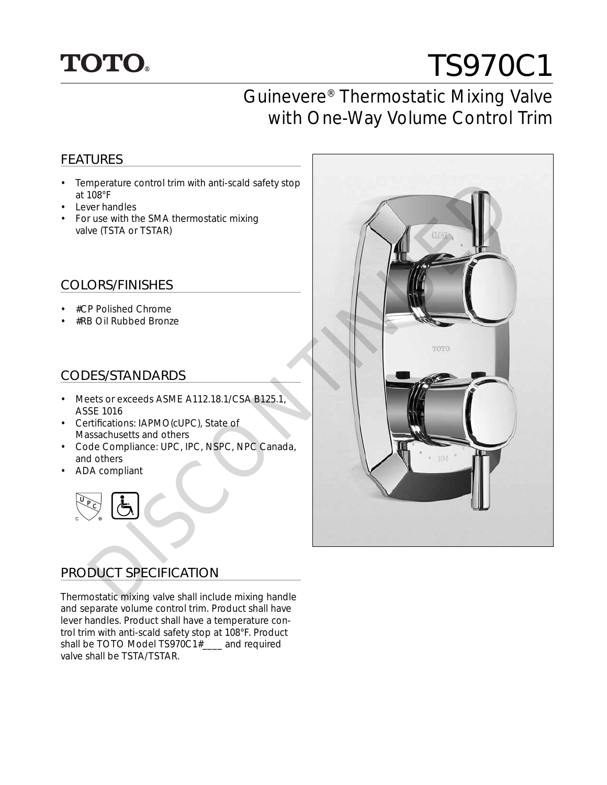## **TOTO.**

# TS970C1

### Guinevere® Thermostatic Mixing Valve with One-Way Volume Control Trim

#### FEATURES

- Temperature control trim with anti-scald safety stop at 108°F
- Lever handles
- For use with the SMA thermostatic mixing valve (TSTA or TSTAR)

#### COLORS/FINISHES

- #CP Polished Chrome
- #RB Oil Rubbed Bronze

#### CODES/STANDARDS

- Meets or exceeds ASME A112.18.1/CSA B125.1, ASSE 1016
- Certifications: IAPMO(cUPC), State of Massachusetts and others
- Code Compliance: UPC, IPC, NSPC, NPC Canada, and others
- ADA compliant



#### PRODUCT SPECIFICATION

Thermostatic mixing valve shall include mixing handle and separate volume control trim. Product shall have lever handles. Product shall have a temperature control trim with anti-scald safety stop at 108°F. Product shall be TOTO Model TS970C1#\_\_\_\_ and required valve shall be TSTA/TSTAR.